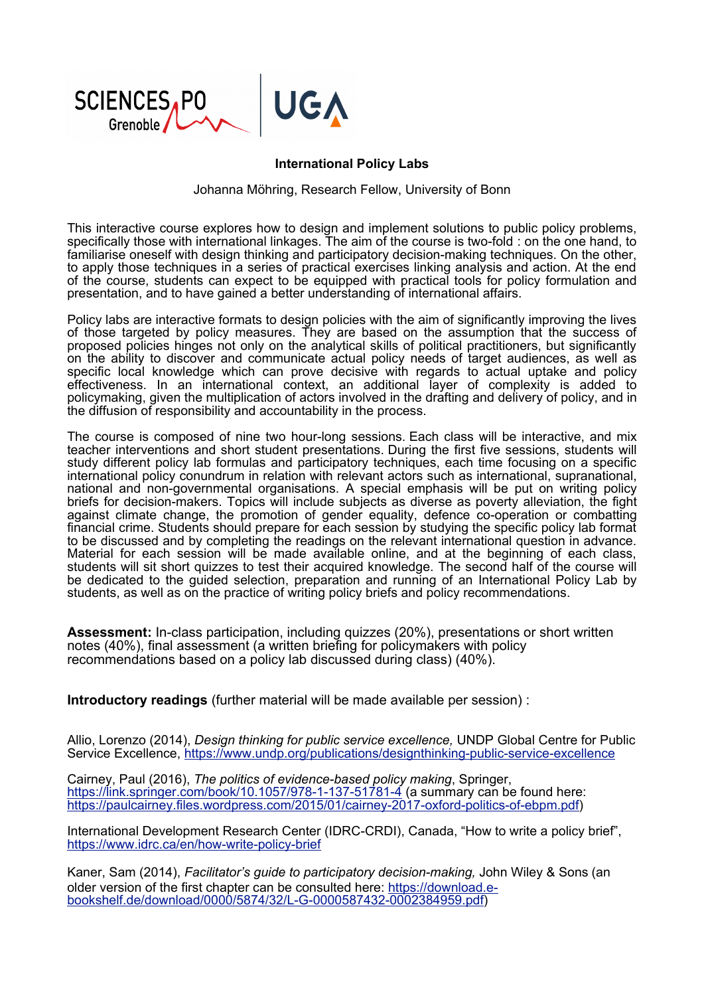

## **International Policy Labs**

Johanna Möhring, Research Fellow, University of Bonn

This interactive course explores how to design and implement solutions to public policy problems, specifically those with international linkages. The aim of the course is two-fold : on the one hand, to familiarise oneself with design thinking and participatory decision-making techniques. On the other, to apply those techniques in a series of practical exercises linking analysis and action. At the end of the course, students can expect to be equipped with practical tools for policy formulation and presentation, and to have gained a better understanding of international affairs.

Policy labs are interactive formats to design policies with the aim of significantly improving the lives of those targeted by policy measures. They are based on the assumption that the success of proposed policies hinges not only on the analytical skills of political practitioners, but significantly on the ability to discover and communicate actual policy needs of target audiences, as well as specific local knowledge which can prove decisive with regards to actual uptake and policy effectiveness. In an international context, an additional layer of complexity is added to policymaking, given the multiplication of actors involved in the drafting and delivery of policy, and in the diffusion of responsibility and accountability in the process.

The course is composed of nine two hour-long sessions. Each class will be interactive, and mix teacher interventions and short student presentations. During the first five sessions, students will study different policy lab formulas and participatory techniques, each time focusing on a specific international policy conundrum in relation with relevant actors such as international, supranational, national and non-governmental organisations. A special emphasis will be put on writing policy briefs for decision-makers. Topics will include subjects as diverse as poverty alleviation, the fight against climate change, the promotion of gender equality, defence co-operation or combatting financial crime. Students should prepare for each session by studying the specific policy lab format to be discussed and by completing the readings on the relevant international question in advance. Material for each session will be made available online, and at the beginning of each class, students will sit short quizzes to test their acquired knowledge. The second half of the course will be dedicated to the guided selection, preparation and running of an International Policy Lab by students, as well as on the practice of writing policy briefs and policy recommendations.

**Assessment:** In-class participation, including quizzes (20%), presentations or short written notes (40%), final assessment (a written briefing for policymakers with policy recommendations based on a policy lab discussed during class) (40%).

**Introductory readings** (further material will be made available per session) :

Allio, Lorenzo (2014), *Design thinking for public service excellence,* UNDP Global Centre for Public Service Excellence, https://www.undp.org/publications/designthinking-public-service-excellence

Cairney, Paul (2016), *The politics of evidence-based policy making*, Springer, https://link.springer.com/book/10.1057/978-1-137-51781-4 (a summary can be found here: https://paulcairney.files.wordpress.com/2015/01/cairney-2017-oxford-politics-of-ebpm.pdf)

International Development Research Center (IDRC-CRDI), Canada, "How to write a policy brief", https://www.idrc.ca/en/how-write-policy-brief

Kaner, Sam (2014), *Facilitator's guide to participatory decision-making,* John Wiley & Sons (an older version of the first chapter can be consulted here: https://download.ebookshelf.de/download/0000/5874/32/L-G-0000587432-0002384959.pdf)